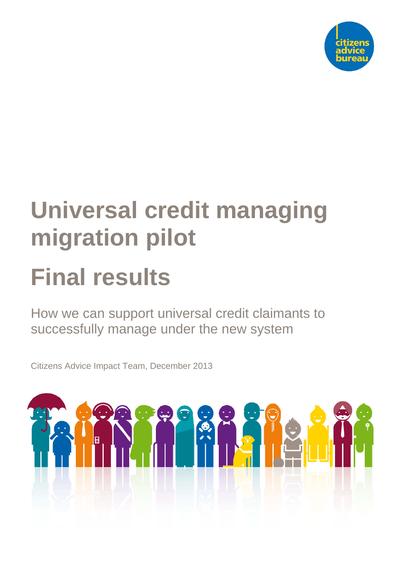

# **Universal credit managing migration pilot**

# **Final results**

How we can support universal credit claimants to successfully manage under the new system

Citizens Advice Impact Team, December 2013

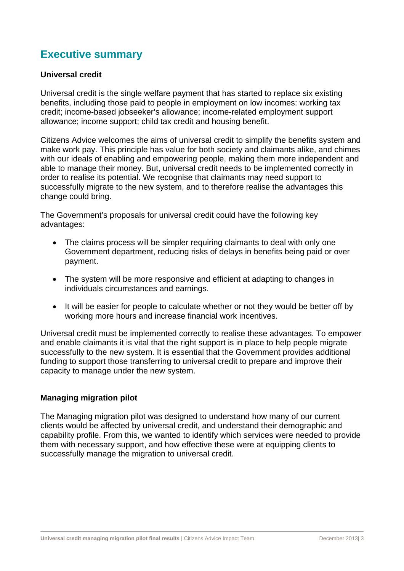# **Executive summary**

#### **Universal credit**

Universal credit is the single welfare payment that has started to replace six existing benefits, including those paid to people in employment on low incomes: working tax credit; income-based jobseeker's allowance; income-related employment support allowance; income support; child tax credit and housing benefit.

Citizens Advice welcomes the aims of universal credit to simplify the benefits system and make work pay. This principle has value for both society and claimants alike, and chimes with our ideals of enabling and empowering people, making them more independent and able to manage their money. But, universal credit needs to be implemented correctly in order to realise its potential. We recognise that claimants may need support to successfully migrate to the new system, and to therefore realise the advantages this change could bring.

The Government's proposals for universal credit could have the following key advantages:

- The claims process will be simpler requiring claimants to deal with only one Government department, reducing risks of delays in benefits being paid or over payment.
- The system will be more responsive and efficient at adapting to changes in individuals circumstances and earnings.
- It will be easier for people to calculate whether or not they would be better off by working more hours and increase financial work incentives.

Universal credit must be implemented correctly to realise these advantages. To empower and enable claimants it is vital that the right support is in place to help people migrate successfully to the new system. It is essential that the Government provides additional funding to support those transferring to universal credit to prepare and improve their capacity to manage under the new system.

#### **Managing migration pilot**

The Managing migration pilot was designed to understand how many of our current clients would be affected by universal credit, and understand their demographic and capability profile. From this, we wanted to identify which services were needed to provide them with necessary support, and how effective these were at equipping clients to successfully manage the migration to universal credit.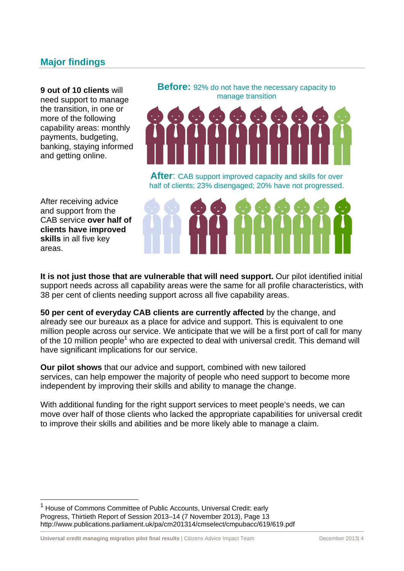# **Major findings**

**9 out of 10 clients** will need support to manage the transition, in one or more of the following capability areas: monthly payments, budgeting, banking, staying informed and getting online.

**Before:** 92% do not have the necessary capacity to manage transition



**After**: CAB support improved capacity and skills for over half of clients; 23% disengaged; 20% have not progressed.

After receiving advice and support from the CAB service **over half of clients have improved skills** in all five key areas.

l



**It is not just those that are vulnerable that will need support.** Our pilot identified initial support needs across all capability areas were the same for all profile characteristics, with 38 per cent of clients needing support across all five capability areas.

**50 per cent of everyday CAB clients are currently affected** by the change, and already see our bureaux as a place for advice and support. This is equivalent to one million people across our service. We anticipate that we will be a first port of call for many of the 10 million people<sup>1</sup> who are expected to deal with universal credit. This demand will have significant implications for our service.

**Our pilot shows** that our advice and support, combined with new tailored services, can help empower the majority of people who need support to become more independent by improving their skills and ability to manage the change.

With additional funding for the right support services to meet people's needs, we can move over half of those clients who lacked the appropriate capabilities for universal credit to improve their skills and abilities and be more likely able to manage a claim.

<sup>1</sup> House of Commons Committee of Public Accounts, Universal Credit: early Progress, Thirtieth Report of Session 2013–14 (7 November 2013), Page 13 http://www.publications.parliament.uk/pa/cm201314/cmselect/cmpubacc/619/619.pdf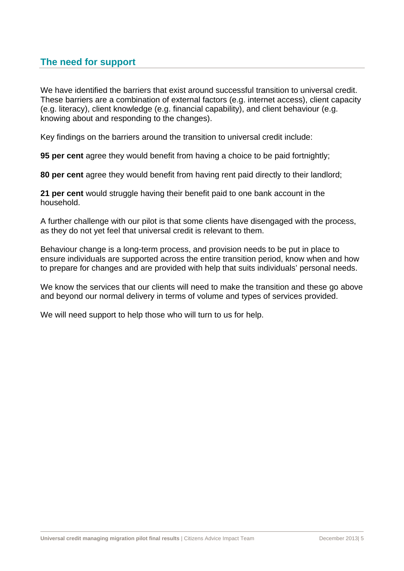# **The need for support**

We have identified the barriers that exist around successful transition to universal credit. These barriers are a combination of external factors (e.g. internet access), client capacity (e.g. literacy), client knowledge (e.g. financial capability), and client behaviour (e.g. knowing about and responding to the changes).

Key findings on the barriers around the transition to universal credit include:

**95 per cent** agree they would benefit from having a choice to be paid fortnightly;

**80 per cent** agree they would benefit from having rent paid directly to their landlord;

**21 per cent** would struggle having their benefit paid to one bank account in the household.

A further challenge with our pilot is that some clients have disengaged with the process, as they do not yet feel that universal credit is relevant to them.

Behaviour change is a long-term process, and provision needs to be put in place to ensure individuals are supported across the entire transition period, know when and how to prepare for changes and are provided with help that suits individuals' personal needs.

We know the services that our clients will need to make the transition and these go above and beyond our normal delivery in terms of volume and types of services provided.

We will need support to help those who will turn to us for help.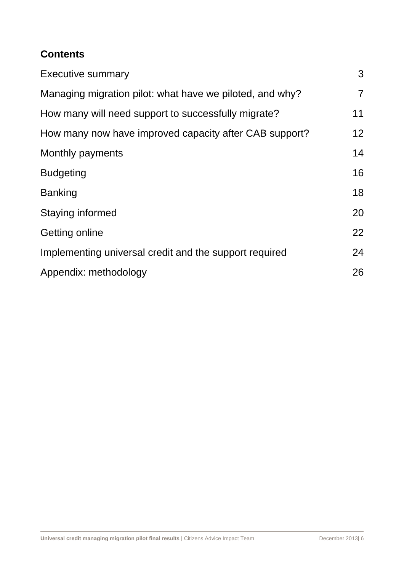# **Contents**

| <b>Executive summary</b>                                 | 3               |
|----------------------------------------------------------|-----------------|
| Managing migration pilot: what have we piloted, and why? | $\overline{7}$  |
| How many will need support to successfully migrate?      | 11              |
| How many now have improved capacity after CAB support?   | 12 <sup>2</sup> |
| Monthly payments                                         | 14              |
| <b>Budgeting</b>                                         | 16              |
| <b>Banking</b>                                           | 18              |
| Staying informed                                         | 20              |
| Getting online                                           | 22              |
| Implementing universal credit and the support required   | 24              |
| Appendix: methodology                                    | 26              |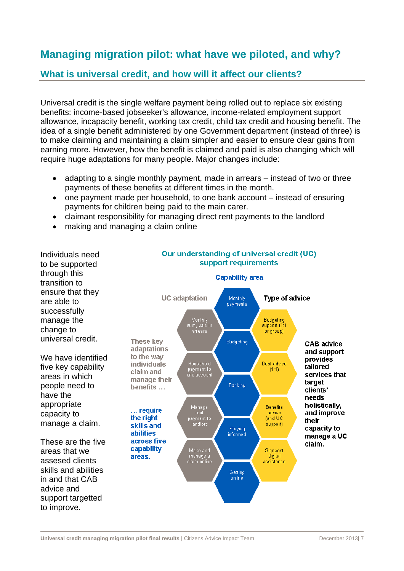# **Managing migration pilot: what have we piloted, and why?**

# **What is universal credit, and how will it affect our clients?**

Universal credit is the single welfare payment being rolled out to replace six existing benefits: income-based jobseeker's allowance, income-related employment support allowance, incapacity benefit, working tax credit, child tax credit and housing benefit. The idea of a single benefit administered by one Government department (instead of three) is to make claiming and maintaining a claim simpler and easier to ensure clear gains from earning more. However, how the benefit is claimed and paid is also changing which will require huge adaptations for many people. Major changes include:

- adapting to a single monthly payment, made in arrears instead of two or three payments of these benefits at different times in the month.
- one payment made per household, to one bank account instead of ensuring payments for children being paid to the main carer.
- claimant responsibility for managing direct rent payments to the landlord
- making and managing a claim online

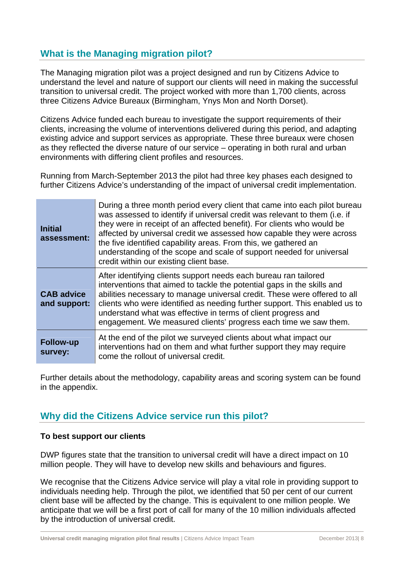# **What is the Managing migration pilot?**

The Managing migration pilot was a project designed and run by Citizens Advice to understand the level and nature of support our clients will need in making the successful transition to universal credit. The project worked with more than 1,700 clients, across three Citizens Advice Bureaux (Birmingham, Ynys Mon and North Dorset).

Citizens Advice funded each bureau to investigate the support requirements of their clients, increasing the volume of interventions delivered during this period, and adapting existing advice and support services as appropriate. These three bureaux were chosen as they reflected the diverse nature of our service – operating in both rural and urban environments with differing client profiles and resources.

Running from March-September 2013 the pilot had three key phases each designed to further Citizens Advice's understanding of the impact of universal credit implementation.

| <b>Initial</b><br>assessment:     | During a three month period every client that came into each pilot bureau<br>was assessed to identify if universal credit was relevant to them (i.e. if<br>they were in receipt of an affected benefit). For clients who would be<br>affected by universal credit we assessed how capable they were across<br>the five identified capability areas. From this, we gathered an<br>understanding of the scope and scale of support needed for universal<br>credit within our existing client base. |
|-----------------------------------|--------------------------------------------------------------------------------------------------------------------------------------------------------------------------------------------------------------------------------------------------------------------------------------------------------------------------------------------------------------------------------------------------------------------------------------------------------------------------------------------------|
| <b>CAB advice</b><br>and support: | After identifying clients support needs each bureau ran tailored<br>interventions that aimed to tackle the potential gaps in the skills and<br>abilities necessary to manage universal credit. These were offered to all<br>clients who were identified as needing further support. This enabled us to<br>understand what was effective in terms of client progress and<br>engagement. We measured clients' progress each time we saw them.                                                      |
| <b>Follow-up</b><br>survey:       | At the end of the pilot we surveyed clients about what impact our<br>interventions had on them and what further support they may require<br>come the rollout of universal credit.                                                                                                                                                                                                                                                                                                                |

Further details about the methodology, capability areas and scoring system can be found in the appendix.

# **Why did the Citizens Advice service run this pilot?**

#### **To best support our clients**

DWP figures state that the transition to universal credit will have a direct impact on 10 million people. They will have to develop new skills and behaviours and figures.

We recognise that the Citizens Advice service will play a vital role in providing support to individuals needing help. Through the pilot, we identified that 50 per cent of our current client base will be affected by the change. This is equivalent to one million people. We anticipate that we will be a first port of call for many of the 10 million individuals affected by the introduction of universal credit.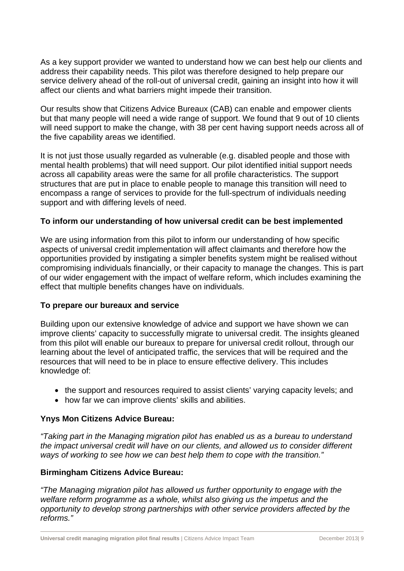As a key support provider we wanted to understand how we can best help our clients and address their capability needs. This pilot was therefore designed to help prepare our service delivery ahead of the roll-out of universal credit, gaining an insight into how it will affect our clients and what barriers might impede their transition.

Our results show that Citizens Advice Bureaux (CAB) can enable and empower clients but that many people will need a wide range of support. We found that 9 out of 10 clients will need support to make the change, with 38 per cent having support needs across all of the five capability areas we identified.

It is not just those usually regarded as vulnerable (e.g. disabled people and those with mental health problems) that will need support. Our pilot identified initial support needs across all capability areas were the same for all profile characteristics. The support structures that are put in place to enable people to manage this transition will need to encompass a range of services to provide for the full-spectrum of individuals needing support and with differing levels of need.

#### **To inform our understanding of how universal credit can be best implemented**

We are using information from this pilot to inform our understanding of how specific aspects of universal credit implementation will affect claimants and therefore how the opportunities provided by instigating a simpler benefits system might be realised without compromising individuals financially, or their capacity to manage the changes. This is part of our wider engagement with the impact of welfare reform, which includes examining the effect that multiple benefits changes have on individuals.

#### **To prepare our bureaux and service**

Building upon our extensive knowledge of advice and support we have shown we can improve clients' capacity to successfully migrate to universal credit. The insights gleaned from this pilot will enable our bureaux to prepare for universal credit rollout, through our learning about the level of anticipated traffic, the services that will be required and the resources that will need to be in place to ensure effective delivery. This includes knowledge of:

- the support and resources required to assist clients' varying capacity levels; and
- how far we can improve clients' skills and abilities.

#### **Ynys Mon Citizens Advice Bureau:**

*"Taking part in the Managing migration pilot has enabled us as a bureau to understand the impact universal credit will have on our clients, and allowed us to consider different ways of working to see how we can best help them to cope with the transition."* 

#### **Birmingham Citizens Advice Bureau:**

*"The Managing migration pilot has allowed us further opportunity to engage with the welfare reform programme as a whole, whilst also giving us the impetus and the opportunity to develop strong partnerships with other service providers affected by the reforms."*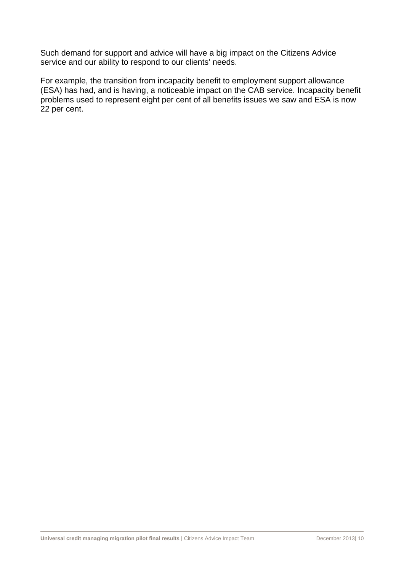Such demand for support and advice will have a big impact on the Citizens Advice service and our ability to respond to our clients' needs.

For example, the transition from incapacity benefit to employment support allowance (ESA) has had, and is having, a noticeable impact on the CAB service. Incapacity benefit problems used to represent eight per cent of all benefits issues we saw and ESA is now 22 per cent.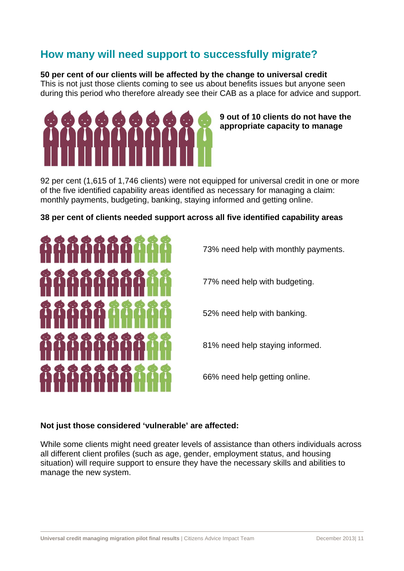# **How many will need support to successfully migrate?**

#### **50 per cent of our clients will be affected by the change to universal credit**

This is not just those clients coming to see us about benefits issues but anyone seen during this period who therefore already see their CAB as a place for advice and support.



**9 out of 10 clients do not have the appropriate capacity to manage** 

92 per cent (1,615 of 1,746 clients) were not equipped for universal credit in one or more of the five identified capability areas identified as necessary for managing a claim: monthly payments, budgeting, banking, staying informed and getting online.

#### **38 per cent of clients needed support across all five identified capability areas**



73% need help with monthly payments.

77% need help with budgeting.

52% need help with banking.

81% need help staying informed.

66% need help getting online.

#### **Not just those considered 'vulnerable' are affected:**

While some clients might need greater levels of assistance than others individuals across all different client profiles (such as age, gender, employment status, and housing situation) will require support to ensure they have the necessary skills and abilities to manage the new system.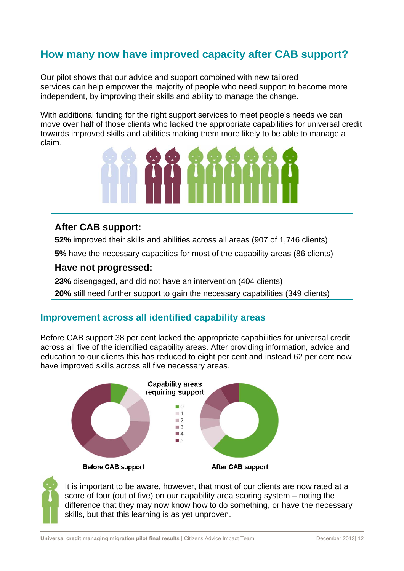# **How many now have improved capacity after CAB support?**

Our pilot shows that our advice and support combined with new tailored services can help empower the majority of people who need support to become more independent, by improving their skills and ability to manage the change.

With additional funding for the right support services to meet people's needs we can move over half of those clients who lacked the appropriate capabilities for universal credit towards improved skills and abilities making them more likely to be able to manage a claim.



## **After CAB support:**

**52%** improved their skills and abilities across all areas (907 of 1,746 clients)

**5%** have the necessary capacities for most of the capability areas (86 clients)

## **Have not progressed:**

**23%** disengaged, and did not have an intervention (404 clients) **20%** still need further support to gain the necessary capabilities (349 clients)

## **Improvement across all identified capability areas**

Before CAB support 38 per cent lacked the appropriate capabilities for universal credit across all five of the identified capability areas. After providing information, advice and education to our clients this has reduced to eight per cent and instead 62 per cent now have improved skills across all five necessary areas.





It is important to be aware, however, that most of our clients are now rated at a score of four (out of five) on our capability area scoring system – noting the difference that they may now know how to do something, or have the necessary skills, but that this learning is as yet unproven.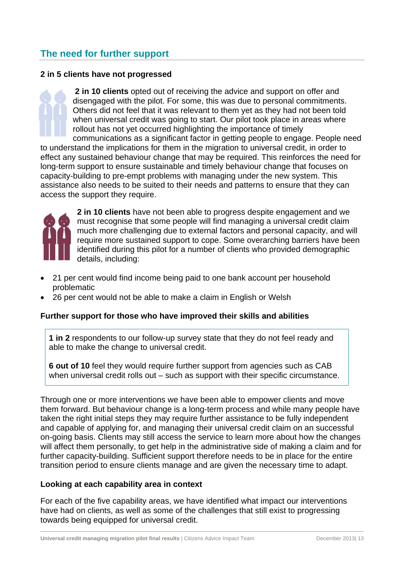# **The need for further support**

#### **2 in 5 clients have not progressed**

**2 in 10 clients** opted out of receiving the advice and support on offer and disengaged with the pilot. For some, this was due to personal commitments. Others did not feel that it was relevant to them yet as they had not been told when universal credit was going to start. Our pilot took place in areas where rollout has not yet occurred highlighting the importance of timely

communications as a significant factor in getting people to engage. People need to understand the implications for them in the migration to universal credit, in order to effect any sustained behaviour change that may be required. This reinforces the need for long-term support to ensure sustainable and timely behaviour change that focuses on capacity-building to pre-empt problems with managing under the new system. This assistance also needs to be suited to their needs and patterns to ensure that they can access the support they require.



**2 in 10 clients** have not been able to progress despite engagement and we must recognise that some people will find managing a universal credit claim much more challenging due to external factors and personal capacity, and will require more sustained support to cope. Some overarching barriers have been identified during this pilot for a number of clients who provided demographic details, including:

- 21 per cent would find income being paid to one bank account per household problematic
- 26 per cent would not be able to make a claim in English or Welsh

#### **Further support for those who have improved their skills and abilities**

**1 in 2** respondents to our follow-up survey state that they do not feel ready and able to make the change to universal credit.

**6 out of 10** feel they would require further support from agencies such as CAB when universal credit rolls out – such as support with their specific circumstance.

Through one or more interventions we have been able to empower clients and move them forward. But behaviour change is a long-term process and while many people have taken the right initial steps they may require further assistance to be fully independent and capable of applying for, and managing their universal credit claim on an successful on-going basis. Clients may still access the service to learn more about how the changes will affect them personally, to get help in the administrative side of making a claim and for further capacity-building. Sufficient support therefore needs to be in place for the entire transition period to ensure clients manage and are given the necessary time to adapt.

#### **Looking at each capability area in context**

For each of the five capability areas, we have identified what impact our interventions have had on clients, as well as some of the challenges that still exist to progressing towards being equipped for universal credit.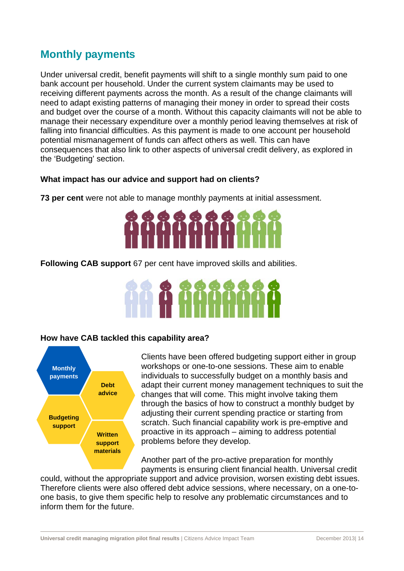# **Monthly payments**

Under universal credit, benefit payments will shift to a single monthly sum paid to one bank account per household. Under the current system claimants may be used to receiving different payments across the month. As a result of the change claimants will need to adapt existing patterns of managing their money in order to spread their costs and budget over the course of a month. Without this capacity claimants will not be able to manage their necessary expenditure over a monthly period leaving themselves at risk of falling into financial difficulties. As this payment is made to one account per household potential mismanagement of funds can affect others as well. This can have consequences that also link to other aspects of universal credit delivery, as explored in the 'Budgeting' section.

#### **What impact has our advice and support had on clients?**

**73 per cent** were not able to manage monthly payments at initial assessment.



**Following CAB support** 67 per cent have improved skills and abilities.

#### **How have CAB tackled this capability area?**



Clients have been offered budgeting support either in group workshops or one-to-one sessions. These aim to enable individuals to successfully budget on a monthly basis and adapt their current money management techniques to suit the changes that will come. This might involve taking them through the basics of how to construct a monthly budget by adjusting their current spending practice or starting from scratch. Such financial capability work is pre-emptive and proactive in its approach – aiming to address potential problems before they develop.

Another part of the pro-active preparation for monthly payments is ensuring client financial health. Universal credit

could, without the appropriate support and advice provision, worsen existing debt issues. Therefore clients were also offered debt advice sessions, where necessary, on a one-toone basis, to give them specific help to resolve any problematic circumstances and to inform them for the future.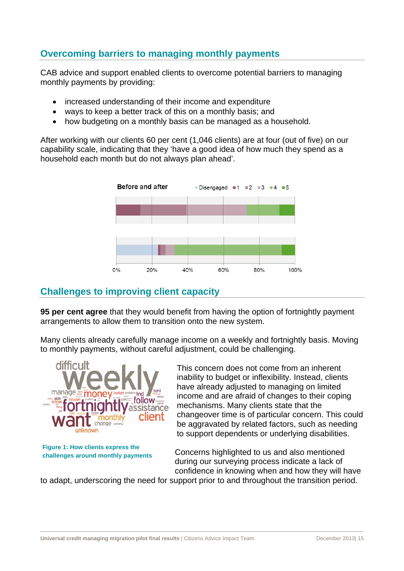# **Overcoming barriers to managing monthly payments**

CAB advice and support enabled clients to overcome potential barriers to managing monthly payments by providing:

- increased understanding of their income and expenditure
- ways to keep a better track of this on a monthly basis; and
- how budgeting on a monthly basis can be managed as a household.

After working with our clients 60 per cent (1,046 clients) are at four (out of five) on our capability scale, indicating that they 'have a good idea of how much they spend as a household each month but do not always plan ahead'.



# **Challenges to improving client capacity**

**95 per cent agree** that they would benefit from having the option of fortnightly payment arrangements to allow them to transition onto the new system.

Many clients already carefully manage income on a weekly and fortnightly basis. Moving to monthly payments, without careful adjustment, could be challenging.



**Figure 1: How clients express the challenges around monthly payments** 

This concern does not come from an inherent inability to budget or inflexibility. Instead, clients have already adjusted to managing on limited income and are afraid of changes to their coping mechanisms. Many clients state that the changeover time is of particular concern. This could be aggravated by related factors, such as needing to support dependents or underlying disabilities.

Concerns highlighted to us and also mentioned during our surveying process indicate a lack of confidence in knowing when and how they will have

to adapt, underscoring the need for support prior to and throughout the transition period.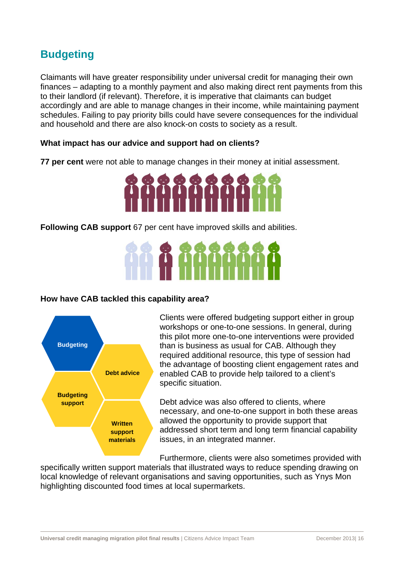# **Budgeting**

Claimants will have greater responsibility under universal credit for managing their own finances – adapting to a monthly payment and also making direct rent payments from this to their landlord (if relevant). Therefore, it is imperative that claimants can budget accordingly and are able to manage changes in their income, while maintaining payment schedules. Failing to pay priority bills could have severe consequences for the individual and household and there are also knock-on costs to society as a result.

#### **What impact has our advice and support had on clients?**

**77 per cent** were not able to manage changes in their money at initial assessment.



**Following CAB support** 67 per cent have improved skills and abilities.

#### **How have CAB tackled this capability area?**



Clients were offered budgeting support either in group workshops or one-to-one sessions. In general, during this pilot more one-to-one interventions were provided than is business as usual for CAB. Although they required additional resource, this type of session had the advantage of boosting client engagement rates and enabled CAB to provide help tailored to a client's specific situation.

Debt advice was also offered to clients, where necessary, and one-to-one support in both these areas allowed the opportunity to provide support that addressed short term and long term financial capability issues, in an integrated manner.

Furthermore, clients were also sometimes provided with

specifically written support materials that illustrated ways to reduce spending drawing on local knowledge of relevant organisations and saving opportunities, such as Ynys Mon highlighting discounted food times at local supermarkets.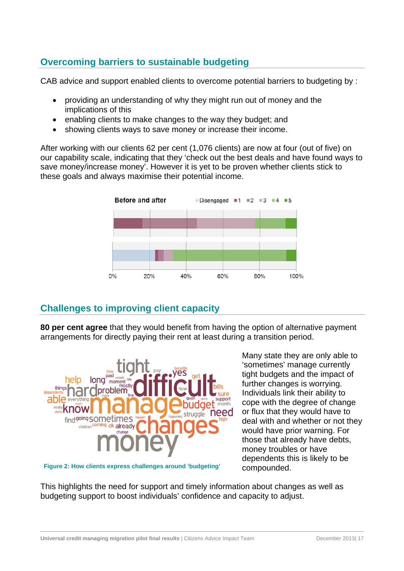# **Overcoming barriers to sustainable budgeting**

CAB advice and support enabled clients to overcome potential barriers to budgeting by :

- providing an understanding of why they might run out of money and the implications of this
- enabling clients to make changes to the way they budget; and
- showing clients ways to save money or increase their income.

After working with our clients 62 per cent (1,076 clients) are now at four (out of five) on our capability scale, indicating that they 'check out the best deals and have found ways to save money/increase money'. However it is yet to be proven whether clients stick to these goals and always maximise their potential income.



# **Challenges to improving client capacity**

**80 per cent agree** that they would benefit from having the option of alternative payment arrangements for directly paying their rent at least during a transition period.



**Figure 2: How clients express challenges around 'budgeting'** 

Many state they are only able to 'sometimes' manage currently tight budgets and the impact of further changes is worrying. Individuals link their ability to cope with the degree of change or flux that they would have to deal with and whether or not they would have prior warning. For those that already have debts, money troubles or have dependents this is likely to be compounded.

This highlights the need for support and timely information about changes as well as budgeting support to boost individuals' confidence and capacity to adjust.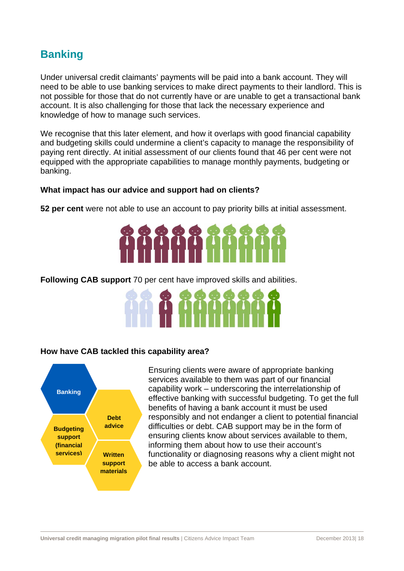# **Banking**

Under universal credit claimants' payments will be paid into a bank account. They will need to be able to use banking services to make direct payments to their landlord. This is not possible for those that do not currently have or are unable to get a transactional bank account. It is also challenging for those that lack the necessary experience and knowledge of how to manage such services.

We recognise that this later element, and how it overlaps with good financial capability and budgeting skills could undermine a client's capacity to manage the responsibility of paying rent directly. At initial assessment of our clients found that 46 per cent were not equipped with the appropriate capabilities to manage monthly payments, budgeting or banking.

#### **What impact has our advice and support had on clients?**

**52 per cent** were not able to use an account to pay priority bills at initial assessment.



**Following CAB support** 70 per cent have improved skills and abilities.



#### **How have CAB tackled this capability area?**



Ensuring clients were aware of appropriate banking services available to them was part of our financial capability work – underscoring the interrelationship of effective banking with successful budgeting. To get the full benefits of having a bank account it must be used responsibly and not endanger a client to potential financial difficulties or debt. CAB support may be in the form of ensuring clients know about services available to them, informing them about how to use their account's functionality or diagnosing reasons why a client might not be able to access a bank account.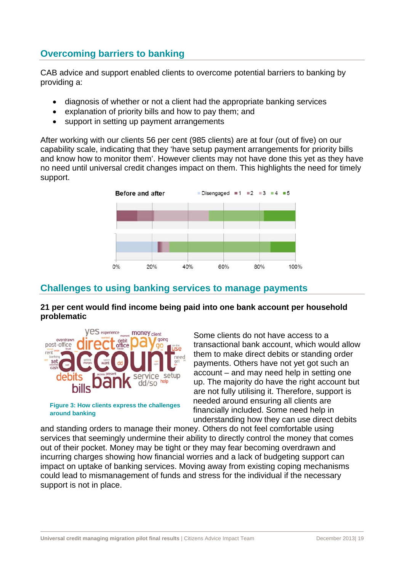# **Overcoming barriers to banking**

CAB advice and support enabled clients to overcome potential barriers to banking by providing a:

- diagnosis of whether or not a client had the appropriate banking services
- explanation of priority bills and how to pay them; and
- support in setting up payment arrangements

After working with our clients 56 per cent (985 clients) are at four (out of five) on our capability scale, indicating that they 'have setup payment arrangements for priority bills and know how to monitor them'. However clients may not have done this yet as they have no need until universal credit changes impact on them. This highlights the need for timely support.



# **Challenges to using banking services to manage payments**

**21 per cent would find income being paid into one bank account per household problematic** 



**around banking** 

Some clients do not have access to a transactional bank account, which would allow them to make direct debits or standing order payments. Others have not yet got such an account – and may need help in setting one up. The majority do have the right account but are not fully utilising it. Therefore, support is needed around ensuring all clients are financially included. Some need help in understanding how they can use direct debits

and standing orders to manage their money. Others do not feel comfortable using services that seemingly undermine their ability to directly control the money that comes out of their pocket. Money may be tight or they may fear becoming overdrawn and incurring charges showing how financial worries and a lack of budgeting support can impact on uptake of banking services. Moving away from existing coping mechanisms could lead to mismanagement of funds and stress for the individual if the necessary support is not in place.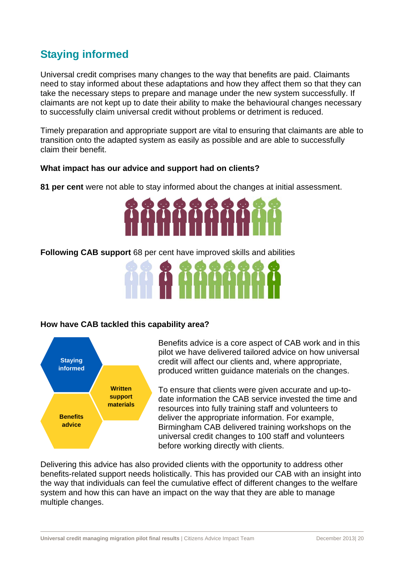# **Staying informed**

Universal credit comprises many changes to the way that benefits are paid. Claimants need to stay informed about these adaptations and how they affect them so that they can take the necessary steps to prepare and manage under the new system successfully. If claimants are not kept up to date their ability to make the behavioural changes necessary to successfully claim universal credit without problems or detriment is reduced.

Timely preparation and appropriate support are vital to ensuring that claimants are able to transition onto the adapted system as easily as possible and are able to successfully claim their benefit.

#### **What impact has our advice and support had on clients?**

**81 per cent** were not able to stay informed about the changes at initial assessment.



**Following CAB support** 68 per cent have improved skills and abilities



#### **How have CAB tackled this capability area?**



Benefits advice is a core aspect of CAB work and in this pilot we have delivered tailored advice on how universal credit will affect our clients and, where appropriate, produced written guidance materials on the changes.

To ensure that clients were given accurate and up-todate information the CAB service invested the time and resources into fully training staff and volunteers to deliver the appropriate information. For example, Birmingham CAB delivered training workshops on the universal credit changes to 100 staff and volunteers before working directly with clients.

Delivering this advice has also provided clients with the opportunity to address other benefits-related support needs holistically. This has provided our CAB with an insight into the way that individuals can feel the cumulative effect of different changes to the welfare system and how this can have an impact on the way that they are able to manage multiple changes.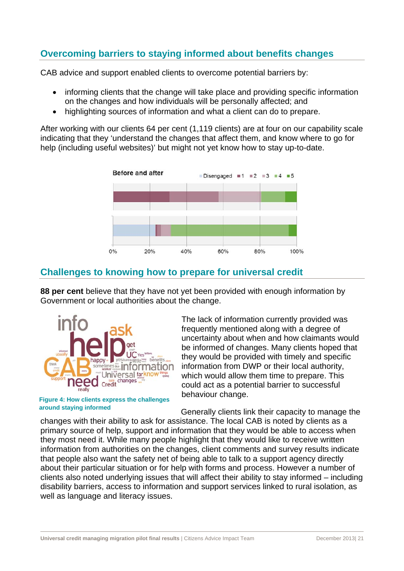# **Overcoming barriers to staying informed about benefits changes**

CAB advice and support enabled clients to overcome potential barriers by:

- informing clients that the change will take place and providing specific information on the changes and how individuals will be personally affected; and
- highlighting sources of information and what a client can do to prepare.

After working with our clients 64 per cent (1,119 clients) are at four on our capability scale indicating that they 'understand the changes that affect them, and know where to go for help (including useful websites)' but might not yet know how to stay up-to-date.



# **Challenges to knowing how to prepare for universal credit**

**88 per cent** believe that they have not yet been provided with enough information by Government or local authorities about the change.



**Figure 4: How clients express the challenges around staying informed** 

The lack of information currently provided was frequently mentioned along with a degree of uncertainty about when and how claimants would be informed of changes. Many clients hoped that they would be provided with timely and specific information from DWP or their local authority, which would allow them time to prepare. This could act as a potential barrier to successful behaviour change.

Generally clients link their capacity to manage the

changes with their ability to ask for assistance. The local CAB is noted by clients as a primary source of help, support and information that they would be able to access when they most need it. While many people highlight that they would like to receive written information from authorities on the changes, client comments and survey results indicate that people also want the safety net of being able to talk to a support agency directly about their particular situation or for help with forms and process. However a number of clients also noted underlying issues that will affect their ability to stay informed – including disability barriers, access to information and support services linked to rural isolation, as well as language and literacy issues.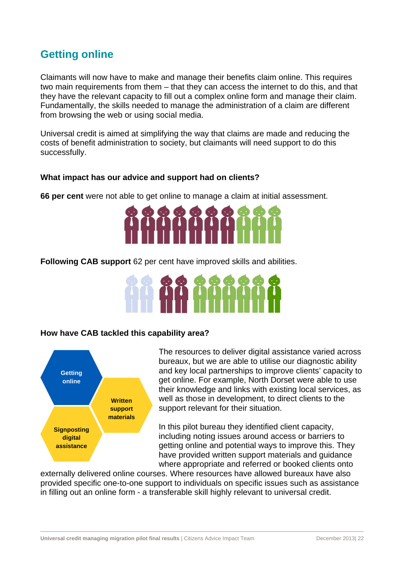# **Getting online**

Claimants will now have to make and manage their benefits claim online. This requires two main requirements from them – that they can access the internet to do this, and that they have the relevant capacity to fill out a complex online form and manage their claim. Fundamentally, the skills needed to manage the administration of a claim are different from browsing the web or using social media.

Universal credit is aimed at simplifying the way that claims are made and reducing the costs of benefit administration to society, but claimants will need support to do this successfully.

#### **What impact has our advice and support had on clients?**

**66 per cent** were not able to get online to manage a claim at initial assessment.



**Following CAB support** 62 per cent have improved skills and abilities.



#### **How have CAB tackled this capability area?**



The resources to deliver digital assistance varied across bureaux, but we are able to utilise our diagnostic ability and key local partnerships to improve clients' capacity to get online. For example, North Dorset were able to use their knowledge and links with existing local services, as well as those in development, to direct clients to the support relevant for their situation.

In this pilot bureau they identified client capacity, including noting issues around access or barriers to getting online and potential ways to improve this. They have provided written support materials and guidance where appropriate and referred or booked clients onto

externally delivered online courses. Where resources have allowed bureaux have also provided specific one-to-one support to individuals on specific issues such as assistance in filling out an online form - a transferable skill highly relevant to universal credit.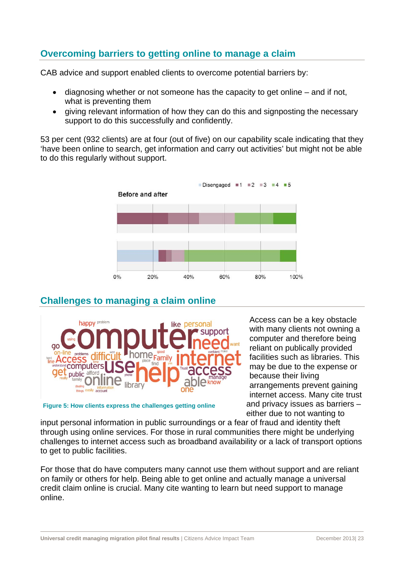# **Overcoming barriers to getting online to manage a claim**

CAB advice and support enabled clients to overcome potential barriers by:

- diagnosing whether or not someone has the capacity to get online and if not, what is preventing them
- giving relevant information of how they can do this and signposting the necessary support to do this successfully and confidently.

53 per cent (932 clients) are at four (out of five) on our capability scale indicating that they 'have been online to search, get information and carry out activities' but might not be able to do this regularly without support.



# **Challenges to managing a claim online**



Access can be a key obstacle with many clients not owning a computer and therefore being reliant on publically provided facilities such as libraries. This may be due to the expense or because their living arrangements prevent gaining internet access. Many cite trust and privacy issues as barriers – either due to not wanting to

**Figure 5: How clients express the challenges getting online** 

input personal information in public surroundings or a fear of fraud and identity theft through using online services. For those in rural communities there might be underlying challenges to internet access such as broadband availability or a lack of transport options to get to public facilities.

For those that do have computers many cannot use them without support and are reliant on family or others for help. Being able to get online and actually manage a universal credit claim online is crucial. Many cite wanting to learn but need support to manage online.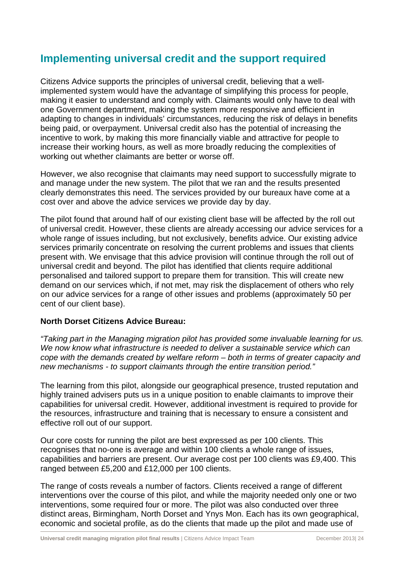# **Implementing universal credit and the support required**

Citizens Advice supports the principles of universal credit, believing that a wellimplemented system would have the advantage of simplifying this process for people, making it easier to understand and comply with. Claimants would only have to deal with one Government department, making the system more responsive and efficient in adapting to changes in individuals' circumstances, reducing the risk of delays in benefits being paid, or overpayment. Universal credit also has the potential of increasing the incentive to work, by making this more financially viable and attractive for people to increase their working hours, as well as more broadly reducing the complexities of working out whether claimants are better or worse off.

However, we also recognise that claimants may need support to successfully migrate to and manage under the new system. The pilot that we ran and the results presented clearly demonstrates this need. The services provided by our bureaux have come at a cost over and above the advice services we provide day by day.

The pilot found that around half of our existing client base will be affected by the roll out of universal credit. However, these clients are already accessing our advice services for a whole range of issues including, but not exclusively, benefits advice. Our existing advice services primarily concentrate on resolving the current problems and issues that clients present with. We envisage that this advice provision will continue through the roll out of universal credit and beyond. The pilot has identified that clients require additional personalised and tailored support to prepare them for transition. This will create new demand on our services which, if not met, may risk the displacement of others who rely on our advice services for a range of other issues and problems (approximately 50 per cent of our client base).

#### **North Dorset Citizens Advice Bureau:**

*"Taking part in the Managing migration pilot has provided some invaluable learning for us. We now know what infrastructure is needed to deliver a sustainable service which can cope with the demands created by welfare reform – both in terms of greater capacity and new mechanisms - to support claimants through the entire transition period."* 

The learning from this pilot, alongside our geographical presence, trusted reputation and highly trained advisers puts us in a unique position to enable claimants to improve their capabilities for universal credit. However, additional investment is required to provide for the resources, infrastructure and training that is necessary to ensure a consistent and effective roll out of our support.

Our core costs for running the pilot are best expressed as per 100 clients. This recognises that no-one is average and within 100 clients a whole range of issues, capabilities and barriers are present. Our average cost per 100 clients was £9,400. This ranged between £5,200 and £12,000 per 100 clients.

The range of costs reveals a number of factors. Clients received a range of different interventions over the course of this pilot, and while the majority needed only one or two interventions, some required four or more. The pilot was also conducted over three distinct areas, Birmingham, North Dorset and Ynys Mon. Each has its own geographical, economic and societal profile, as do the clients that made up the pilot and made use of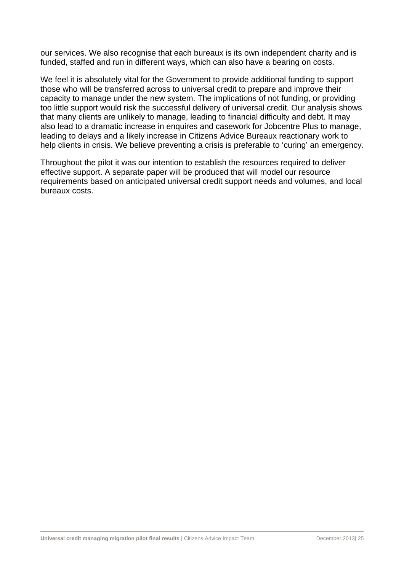our services. We also recognise that each bureaux is its own independent charity and is funded, staffed and run in different ways, which can also have a bearing on costs.

We feel it is absolutely vital for the Government to provide additional funding to support those who will be transferred across to universal credit to prepare and improve their capacity to manage under the new system. The implications of not funding, or providing too little support would risk the successful delivery of universal credit. Our analysis shows that many clients are unlikely to manage, leading to financial difficulty and debt. It may also lead to a dramatic increase in enquires and casework for Jobcentre Plus to manage, leading to delays and a likely increase in Citizens Advice Bureaux reactionary work to help clients in crisis. We believe preventing a crisis is preferable to 'curing' an emergency.

Throughout the pilot it was our intention to establish the resources required to deliver effective support. A separate paper will be produced that will model our resource requirements based on anticipated universal credit support needs and volumes, and local bureaux costs.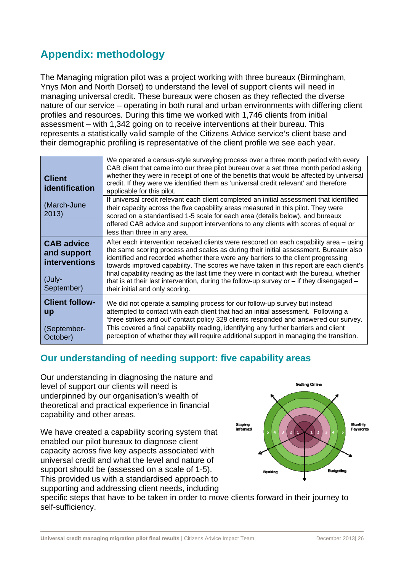# **Appendix: methodology**

The Managing migration pilot was a project working with three bureaux (Birmingham, Ynys Mon and North Dorset) to understand the level of support clients will need in managing universal credit. These bureaux were chosen as they reflected the diverse nature of our service – operating in both rural and urban environments with differing client profiles and resources. During this time we worked with 1,746 clients from initial assessment – with 1,342 going on to receive interventions at their bureau. This represents a statistically valid sample of the Citizens Advice service's client base and their demographic profiling is representative of the client profile we see each year.

| <b>Client</b><br>identification                                                  | We operated a census-style surveying process over a three month period with every<br>CAB client that came into our three pilot bureau over a set three month period asking<br>whether they were in receipt of one of the benefits that would be affected by universal<br>credit. If they were we identified them as 'universal credit relevant' and therefore<br>applicable for this pilot.                                                                                                                                                                                                  |
|----------------------------------------------------------------------------------|----------------------------------------------------------------------------------------------------------------------------------------------------------------------------------------------------------------------------------------------------------------------------------------------------------------------------------------------------------------------------------------------------------------------------------------------------------------------------------------------------------------------------------------------------------------------------------------------|
| (March-June<br>2013)                                                             | If universal credit relevant each client completed an initial assessment that identified<br>their capacity across the five capability areas measured in this pilot. They were<br>scored on a standardised 1-5 scale for each area (details below), and bureaux<br>offered CAB advice and support interventions to any clients with scores of equal or<br>less than three in any area.                                                                                                                                                                                                        |
| <b>CAB advice</b><br>and support<br><b>interventions</b><br>(July-<br>September) | After each intervention received clients were rescored on each capability area – using<br>the same scoring process and scales as during their initial assessment. Bureaux also<br>identified and recorded whether there were any barriers to the client progressing<br>towards improved capability. The scores we have taken in this report are each client's<br>final capability reading as the last time they were in contact with the bureau, whether<br>that is at their last intervention, during the follow-up survey or $-$ if they disengaged $-$<br>their initial and only scoring. |
| <b>Client follow-</b><br><b>up</b><br>(September-<br>October)                    | We did not operate a sampling process for our follow-up survey but instead<br>attempted to contact with each client that had an initial assessment. Following a<br>'three strikes and out' contact policy 329 clients responded and answered our survey.<br>This covered a final capability reading, identifying any further barriers and client<br>perception of whether they will require additional support in managing the transition.                                                                                                                                                   |

# **Our understanding of needing support: five capability areas**

Our understanding in diagnosing the nature and level of support our clients will need is underpinned by our organisation's wealth of theoretical and practical experience in financial capability and other areas.

We have created a capability scoring system that enabled our pilot bureaux to diagnose client capacity across five key aspects associated with universal credit and what the level and nature of support should be (assessed on a scale of 1-5). This provided us with a standardised approach to supporting and addressing client needs, including



specific steps that have to be taken in order to move clients forward in their journey to self-sufficiency.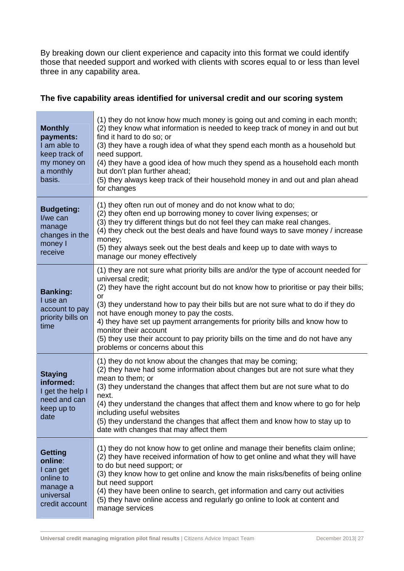By breaking down our client experience and capacity into this format we could identify those that needed support and worked with clients with scores equal to or less than level three in any capability area.

#### **The five capability areas identified for universal credit and our scoring system**

| <b>Monthly</b><br>payments:<br>I am able to<br>keep track of<br>my money on<br>a monthly<br>basis. | (1) they do not know how much money is going out and coming in each month;<br>(2) they know what information is needed to keep track of money in and out but<br>find it hard to do so; or<br>(3) they have a rough idea of what they spend each month as a household but<br>need support.<br>(4) they have a good idea of how much they spend as a household each month<br>but don't plan further ahead;<br>(5) they always keep track of their household money in and out and plan ahead<br>for changes                                                               |
|----------------------------------------------------------------------------------------------------|------------------------------------------------------------------------------------------------------------------------------------------------------------------------------------------------------------------------------------------------------------------------------------------------------------------------------------------------------------------------------------------------------------------------------------------------------------------------------------------------------------------------------------------------------------------------|
| <b>Budgeting:</b><br>I/we can<br>manage<br>changes in the<br>money I<br>receive                    | (1) they often run out of money and do not know what to do;<br>(2) they often end up borrowing money to cover living expenses; or<br>(3) they try different things but do not feel they can make real changes.<br>(4) they check out the best deals and have found ways to save money / increase<br>money;<br>(5) they always seek out the best deals and keep up to date with ways to<br>manage our money effectively                                                                                                                                                 |
| <b>Banking:</b><br>I use an<br>account to pay<br>priority bills on<br>time                         | (1) they are not sure what priority bills are and/or the type of account needed for<br>universal credit;<br>(2) they have the right account but do not know how to prioritise or pay their bills;<br>or<br>(3) they understand how to pay their bills but are not sure what to do if they do<br>not have enough money to pay the costs.<br>4) they have set up payment arrangements for priority bills and know how to<br>monitor their account<br>(5) they use their account to pay priority bills on the time and do not have any<br>problems or concerns about this |
| <b>Staying</b><br>informed:<br>I get the help I<br>need and can<br>keep up to<br>date              | (1) they do not know about the changes that may be coming;<br>(2) they have had some information about changes but are not sure what they<br>mean to them; or<br>(3) they understand the changes that affect them but are not sure what to do<br>next.<br>(4) they understand the changes that affect them and know where to go for help<br>including useful websites<br>(5) they understand the changes that affect them and know how to stay up to<br>date with changes that may affect them                                                                         |
| <b>Getting</b><br>online:<br>I can get<br>online to<br>manage a<br>universal<br>credit account     | (1) they do not know how to get online and manage their benefits claim online;<br>(2) they have received information of how to get online and what they will have<br>to do but need support; or<br>(3) they know how to get online and know the main risks/benefits of being online<br>but need support<br>(4) they have been online to search, get information and carry out activities<br>(5) they have online access and regularly go online to look at content and<br>manage services                                                                              |